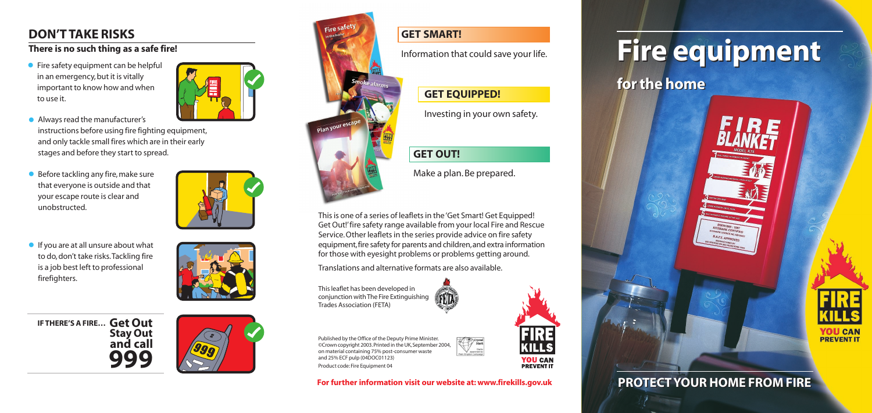**For further information visit our website at: www.firekills.gov.uk**



#### **GET SMART!**

Information that could save your life.

#### **GET EQUIPPED!**

Investing in your own safety.

### **GET OUT!**

Make a plan. Be prepared.

This is one of a series of leaflets in the 'Get Smart! Get Equipped! Get Out!'fire safety range available from your local Fire and Rescue Service.Other leaflets in the series provide advice on fire safety equipment,fire safety for parents and children,and extra information for those with eyesight problems or problems getting around.

Translations and alternative formats are also available.

This leaflet has been developed in conjunction with The Fire Extinguishing Trades Association (FETA)



• Fire safety equipment can be helpful in an emergency, but it is vitally important to know how and when to use it.



- Always read the manufacturer's instructions before using fire fighting equipment, and only tackle small fires which are in their early stages and before they start to spread.
- Before tackling any fire, make sure that everyone is outside and that your escape route is clear and unobstructed.



Published by the Office of the Deputy Prime Minister. ©Crown copyright 2003. Printed in the UK, September 2004, on material containing 75% post-consumer waste and 25% ECF pulp (04DOC01123) Product code: Fire Equipment 04

**•** If you are at all unsure about what to do, don't take risks.Tackling fire is a job best left to professional firefighters.



# **Fire equipment Fire equipment for the home for the home**







# **PROTECT YOUR HOME FROM FIRE PROTECT YOUR HOME FROM FIRE**

# **DON'T TAKE RISKS**

#### **There is no such thing as a safe fire!**

**Get Out IF THERE'S A FIRE…Stay Out and call 999**